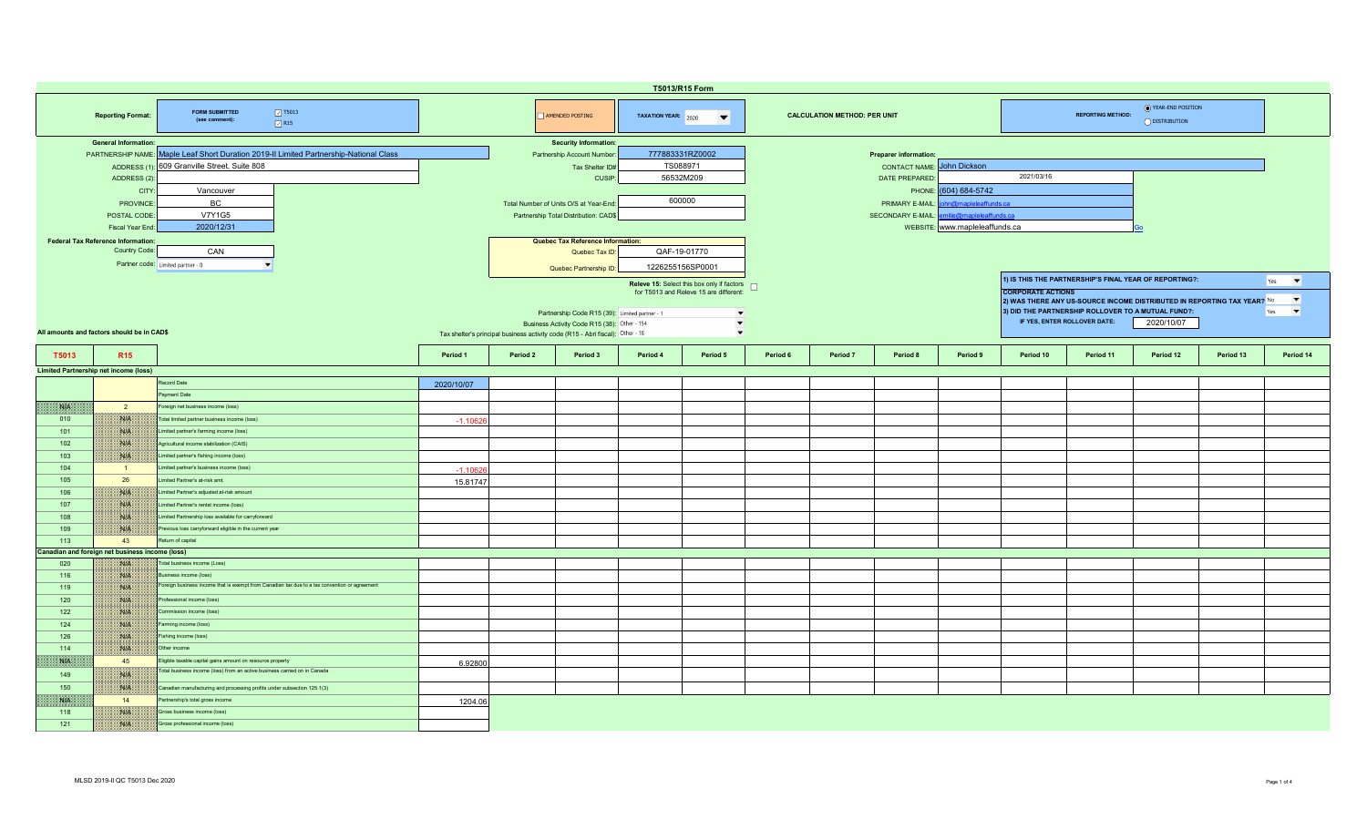| T5013/R15 Form                                                                                                                                                                       |                                                                                                        |                                                                                               |                                                                                                                                                                                  |                                                                |                                          |          |                                                                                                                                                                             |          |                                                                |              |            |                                                                                                                |           |                                                                                                                               |           |           |
|--------------------------------------------------------------------------------------------------------------------------------------------------------------------------------------|--------------------------------------------------------------------------------------------------------|-----------------------------------------------------------------------------------------------|----------------------------------------------------------------------------------------------------------------------------------------------------------------------------------|----------------------------------------------------------------|------------------------------------------|----------|-----------------------------------------------------------------------------------------------------------------------------------------------------------------------------|----------|----------------------------------------------------------------|--------------|------------|----------------------------------------------------------------------------------------------------------------|-----------|-------------------------------------------------------------------------------------------------------------------------------|-----------|-----------|
|                                                                                                                                                                                      | <b>Reporting Format:</b>                                                                               | $\boxed{3}$ T5013<br><b>FORM SUBMITTED</b><br>(see comment):<br>$\sqrt{}$ R15                 |                                                                                                                                                                                  | AMENDED POSTING<br>TAXATION YEAR: 2020<br>$\blacktriangledown$ |                                          |          |                                                                                                                                                                             |          | <b>CALCULATION METHOD: PER UNIT</b>                            |              |            | ◯ YEAR-END POSITION<br><b>REPORTING METHOD:</b><br>O DISTRIBUTION                                              |           |                                                                                                                               |           |           |
| <b>General Information:</b><br>PARTNERSHIP NAME: Maple Leaf Short Duration 2019-II Limited Partnership-National Class<br>ADDRESS (1): 609 Granville Street, Suite 808<br>ADDRESS (2) |                                                                                                        |                                                                                               | <b>Security Information:</b><br>Partnership Account Number<br>Tax Shelter ID#<br><b>CUSIP</b>                                                                                    |                                                                | 777883331RZ0002<br>TS088971<br>56532M209 |          |                                                                                                                                                                             |          | Preparer information:<br><b>CONTACT NAME:</b><br>DATE PREPARED | John Dickson | 2021/03/16 |                                                                                                                |           |                                                                                                                               |           |           |
|                                                                                                                                                                                      | CITY<br>Vancouver<br>BC.<br>PROVINCE<br><b>V7Y1G5</b><br>POSTAL CODE<br>2020/12/31<br>Fiscal Year End  |                                                                                               | Total Number of Units O/S at Year-End<br>Partnership Total Distribution: CAD\$                                                                                                   |                                                                | 600000                                   |          | (604) 684-5742<br>PHONE:<br>n@mapleleaffunds.ca<br>PRIMARY E-MAIL<br>nilie@mapleleaffunds.ca<br><b>SECONDARY E-MAIL:</b><br>WEBSITE: www.mapleleaffunds.ca                  |          |                                                                |              |            |                                                                                                                |           |                                                                                                                               |           |           |
|                                                                                                                                                                                      | <b>Federal Tax Reference Information:</b><br>Country Code:<br>CAN<br>Partner code: Limited partner - 0 |                                                                                               | Quebec Tax Reference Information:<br>Quebec Tax ID:<br>Quebec Partnership ID:                                                                                                    |                                                                |                                          |          | QAF-19-01770<br>1226255156SP0001                                                                                                                                            |          |                                                                |              |            | 1) IS THIS THE PARTNERSHIP'S FINAL YEAR OF REPORTING?:<br>$\blacktriangledown$<br>Yes                          |           |                                                                                                                               |           |           |
| All amounts and factors should be in CAD\$                                                                                                                                           |                                                                                                        |                                                                                               | Partnership Code R15 (39): Limited partner - 1<br>Business Activity Code R15 (38): Other - 154<br>Tax shelter's principal business activity code (R15 - Abri fiscal): Other - 16 |                                                                |                                          |          | Releve 15: Select this box only if factors $\Box$<br>for T5013 and Releve 15 are different:<br>$\overline{\phantom{a}}$<br>$\overline{\phantom{a}}$<br>$\blacktriangledown$ |          |                                                                |              |            | <b>CORPORATE ACTIONS</b><br>3) DID THE PARTNERSHIP ROLLOVER TO A MUTUAL FUND?:<br>IF YES, ENTER ROLLOVER DATE: |           | $\blacktriangledown$<br>2) WAS THERE ANY US-SOURCE INCOME DISTRIBUTED IN REPORTING TAX YEAR? No<br>$\vert \cdot \vert$<br>Yes |           |           |
| T5013                                                                                                                                                                                | R <sub>15</sub>                                                                                        |                                                                                               | Period 1                                                                                                                                                                         | Period 2                                                       | Period 3                                 | Period 4 | Period 5                                                                                                                                                                    | Period 6 | Period 7                                                       | Period 8     | Period 9   | Period 10                                                                                                      | Period 11 | Period 12                                                                                                                     | Period 13 | Period 14 |
|                                                                                                                                                                                      | <b>Limited Partnership net income (loss)</b>                                                           |                                                                                               |                                                                                                                                                                                  |                                                                |                                          |          |                                                                                                                                                                             |          |                                                                |              |            |                                                                                                                |           |                                                                                                                               |           |           |
|                                                                                                                                                                                      |                                                                                                        | Record Date                                                                                   | 2020/10/07                                                                                                                                                                       |                                                                |                                          |          |                                                                                                                                                                             |          |                                                                |              |            |                                                                                                                |           |                                                                                                                               |           |           |
|                                                                                                                                                                                      |                                                                                                        | ayment Date                                                                                   |                                                                                                                                                                                  |                                                                |                                          |          |                                                                                                                                                                             |          |                                                                |              |            |                                                                                                                |           |                                                                                                                               |           |           |
| <b>SAPE</b>                                                                                                                                                                          | $\overline{2}$                                                                                         | Foreign net business income (loss)                                                            |                                                                                                                                                                                  |                                                                |                                          |          |                                                                                                                                                                             |          |                                                                |              |            |                                                                                                                |           |                                                                                                                               |           |           |
| 010                                                                                                                                                                                  | NIA                                                                                                    | Total limited partner business income (loss)                                                  |                                                                                                                                                                                  |                                                                |                                          |          |                                                                                                                                                                             |          |                                                                |              |            |                                                                                                                |           |                                                                                                                               |           |           |
|                                                                                                                                                                                      |                                                                                                        |                                                                                               | $-1.1062$                                                                                                                                                                        |                                                                |                                          |          |                                                                                                                                                                             |          |                                                                |              |            |                                                                                                                |           |                                                                                                                               |           |           |
| 101                                                                                                                                                                                  | WA                                                                                                     | Limited partner's farming income (loss)                                                       |                                                                                                                                                                                  |                                                                |                                          |          |                                                                                                                                                                             |          |                                                                |              |            |                                                                                                                |           |                                                                                                                               |           |           |
| 102                                                                                                                                                                                  | WIE                                                                                                    | Agricultural income stabilization (CAIS)                                                      |                                                                                                                                                                                  |                                                                |                                          |          |                                                                                                                                                                             |          |                                                                |              |            |                                                                                                                |           |                                                                                                                               |           |           |
| 103                                                                                                                                                                                  | NUN                                                                                                    | Limited partner's fishing income (loss)                                                       |                                                                                                                                                                                  |                                                                |                                          |          |                                                                                                                                                                             |          |                                                                |              |            |                                                                                                                |           |                                                                                                                               |           |           |
| 104                                                                                                                                                                                  | $\blacksquare$                                                                                         | Limited partner's business income (loss)                                                      | $-1,1062$                                                                                                                                                                        |                                                                |                                          |          |                                                                                                                                                                             |          |                                                                |              |            |                                                                                                                |           |                                                                                                                               |           |           |
| 105                                                                                                                                                                                  | 26                                                                                                     | imited Partner's at-risk amt.                                                                 | 15.81747                                                                                                                                                                         |                                                                |                                          |          |                                                                                                                                                                             |          |                                                                |              |            |                                                                                                                |           |                                                                                                                               |           |           |
| 106                                                                                                                                                                                  | W                                                                                                      | Limited Partner's adjusted at-risk amount                                                     |                                                                                                                                                                                  |                                                                |                                          |          |                                                                                                                                                                             |          |                                                                |              |            |                                                                                                                |           |                                                                                                                               |           |           |
| 107                                                                                                                                                                                  | NIK                                                                                                    | Limited Partner's rental income (loss)                                                        |                                                                                                                                                                                  |                                                                |                                          |          |                                                                                                                                                                             |          |                                                                |              |            |                                                                                                                |           |                                                                                                                               |           |           |
| 108                                                                                                                                                                                  | NIA                                                                                                    | Limited Partnership loss available for carryforward                                           |                                                                                                                                                                                  |                                                                |                                          |          |                                                                                                                                                                             |          |                                                                |              |            |                                                                                                                |           |                                                                                                                               |           |           |
| 109                                                                                                                                                                                  | WA                                                                                                     | Previous loss carryforward eligible in the current year                                       |                                                                                                                                                                                  |                                                                |                                          |          |                                                                                                                                                                             |          |                                                                |              |            |                                                                                                                |           |                                                                                                                               |           |           |
| 113                                                                                                                                                                                  | 43                                                                                                     | eturn of capital                                                                              |                                                                                                                                                                                  |                                                                |                                          |          |                                                                                                                                                                             |          |                                                                |              |            |                                                                                                                |           |                                                                                                                               |           |           |
|                                                                                                                                                                                      | Canadian and foreign net business income (loss)                                                        |                                                                                               |                                                                                                                                                                                  |                                                                |                                          |          |                                                                                                                                                                             |          |                                                                |              |            |                                                                                                                |           |                                                                                                                               |           |           |
| 020                                                                                                                                                                                  | <b>BALLAR</b>                                                                                          | Total business income (Loss)                                                                  |                                                                                                                                                                                  |                                                                |                                          |          |                                                                                                                                                                             |          |                                                                |              |            |                                                                                                                |           |                                                                                                                               |           |           |
| 116                                                                                                                                                                                  | NA                                                                                                     | usiness income (loss)                                                                         |                                                                                                                                                                                  |                                                                |                                          |          |                                                                                                                                                                             |          |                                                                |              |            |                                                                                                                |           |                                                                                                                               |           |           |
| 119                                                                                                                                                                                  | <b>NB</b>                                                                                              | Foreign business income that is exempt from Canadian tax due to a tax convention or agreement |                                                                                                                                                                                  |                                                                |                                          |          |                                                                                                                                                                             |          |                                                                |              |            |                                                                                                                |           |                                                                                                                               |           |           |
| 120                                                                                                                                                                                  | <b>SIE</b>                                                                                             | Professional income (loss)                                                                    |                                                                                                                                                                                  |                                                                |                                          |          |                                                                                                                                                                             |          |                                                                |              |            |                                                                                                                |           |                                                                                                                               |           |           |
| 122                                                                                                                                                                                  | NIA                                                                                                    | Commission income (loss)                                                                      |                                                                                                                                                                                  |                                                                |                                          |          |                                                                                                                                                                             |          |                                                                |              |            |                                                                                                                |           |                                                                                                                               |           |           |
| 124                                                                                                                                                                                  | NIA                                                                                                    | Farming income (loss)                                                                         |                                                                                                                                                                                  |                                                                |                                          |          |                                                                                                                                                                             |          |                                                                |              |            |                                                                                                                |           |                                                                                                                               |           |           |
| 126                                                                                                                                                                                  | Nitk                                                                                                   | Fishing income (loss)                                                                         |                                                                                                                                                                                  |                                                                |                                          |          |                                                                                                                                                                             |          |                                                                |              |            |                                                                                                                |           |                                                                                                                               |           |           |
| 114                                                                                                                                                                                  | Niek                                                                                                   | Other income                                                                                  |                                                                                                                                                                                  |                                                                |                                          |          |                                                                                                                                                                             |          |                                                                |              |            |                                                                                                                |           |                                                                                                                               |           |           |
| <b>SALA</b>                                                                                                                                                                          | 45                                                                                                     | Eligible taxable capital gains amount on resource property                                    | 6.92800                                                                                                                                                                          |                                                                |                                          |          |                                                                                                                                                                             |          |                                                                |              |            |                                                                                                                |           |                                                                                                                               |           |           |
| 149                                                                                                                                                                                  | NIA                                                                                                    | Fotal business income (loss) from an active business carried on in Canada                     |                                                                                                                                                                                  |                                                                |                                          |          |                                                                                                                                                                             |          |                                                                |              |            |                                                                                                                |           |                                                                                                                               |           |           |
| 150                                                                                                                                                                                  | WA                                                                                                     | Canadian manufacturing and processing profits under subsection 125.1(3)                       |                                                                                                                                                                                  |                                                                |                                          |          |                                                                                                                                                                             |          |                                                                |              |            |                                                                                                                |           |                                                                                                                               |           |           |
| NA                                                                                                                                                                                   | 14                                                                                                     | Partnership's total gross income                                                              | 1204.06                                                                                                                                                                          |                                                                |                                          |          |                                                                                                                                                                             |          |                                                                |              |            |                                                                                                                |           |                                                                                                                               |           |           |
| 118                                                                                                                                                                                  | NIA                                                                                                    | Gross business income (loss)                                                                  |                                                                                                                                                                                  |                                                                |                                          |          |                                                                                                                                                                             |          |                                                                |              |            |                                                                                                                |           |                                                                                                                               |           |           |
| $121$                                                                                                                                                                                | W                                                                                                      | Gross professional income (loss)                                                              |                                                                                                                                                                                  |                                                                |                                          |          |                                                                                                                                                                             |          |                                                                |              |            |                                                                                                                |           |                                                                                                                               |           |           |
|                                                                                                                                                                                      |                                                                                                        |                                                                                               |                                                                                                                                                                                  |                                                                |                                          |          |                                                                                                                                                                             |          |                                                                |              |            |                                                                                                                |           |                                                                                                                               |           |           |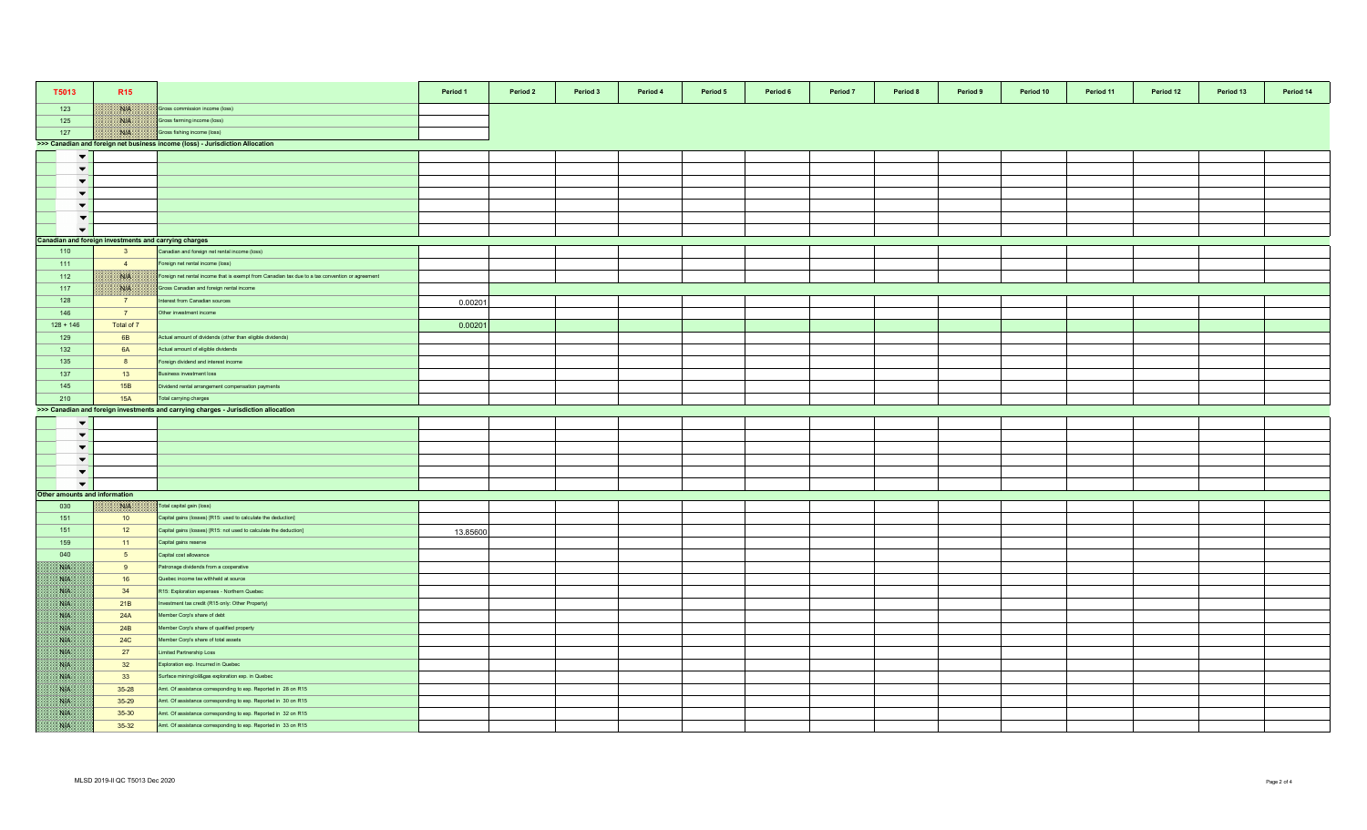| T5013                         | R <sub>15</sub>                                                               |                                                                                                 | Period 1 | Period 2 | Period 3 | Period 4 | Period 5 | Period 6 | Period 7 | Period 8 | Period 9 | Period 10 | Period 11 | Period 12 | Period 13 | Period 14 |
|-------------------------------|-------------------------------------------------------------------------------|-------------------------------------------------------------------------------------------------|----------|----------|----------|----------|----------|----------|----------|----------|----------|-----------|-----------|-----------|-----------|-----------|
| 123                           |                                                                               | Gross commission income (loss)                                                                  |          |          |          |          |          |          |          |          |          |           |           |           |           |           |
| 125                           | ma                                                                            | Gross farming income (loss)                                                                     |          |          |          |          |          |          |          |          |          |           |           |           |           |           |
| 127                           | NIK                                                                           | Gross fishing income (loss)                                                                     |          |          |          |          |          |          |          |          |          |           |           |           |           |           |
|                               | >>> Canadian and foreign net business income (loss) - Jurisdiction Allocation |                                                                                                 |          |          |          |          |          |          |          |          |          |           |           |           |           |           |
| $\blacktriangledown$          |                                                                               |                                                                                                 |          |          |          |          |          |          |          |          |          |           |           |           |           |           |
| $\overline{\phantom{a}}$      |                                                                               |                                                                                                 |          |          |          |          |          |          |          |          |          |           |           |           |           |           |
| $\overline{\phantom{0}}$      |                                                                               |                                                                                                 |          |          |          |          |          |          |          |          |          |           |           |           |           |           |
| $\blacktriangledown$          |                                                                               |                                                                                                 |          |          |          |          |          |          |          |          |          |           |           |           |           |           |
| $\blacktriangledown$          |                                                                               |                                                                                                 |          |          |          |          |          |          |          |          |          |           |           |           |           |           |
| $\blacktriangledown$          |                                                                               |                                                                                                 |          |          |          |          |          |          |          |          |          |           |           |           |           |           |
| $\overline{\phantom{0}}$      |                                                                               |                                                                                                 |          |          |          |          |          |          |          |          |          |           |           |           |           |           |
|                               |                                                                               | Canadian and foreign investments and carrying charges                                           |          |          |          |          |          |          |          |          |          |           |           |           |           |           |
| 110                           | 3 <sup>5</sup>                                                                | Canadian and foreign net rental income (loss)                                                   |          |          |          |          |          |          |          |          |          |           |           |           |           |           |
| 111                           | $\overline{4}$                                                                | oreign net rental income (loss)                                                                 |          |          |          |          |          |          |          |          |          |           |           |           |           |           |
|                               | Nik                                                                           |                                                                                                 |          |          |          |          |          |          |          |          |          |           |           |           |           |           |
| 112                           |                                                                               | Foreign net rental income that is exempt from Canadian tax due to a tax convention or agreement |          |          |          |          |          |          |          |          |          |           |           |           |           |           |
| 117                           | ma                                                                            | Gross Canadian and foreign rental income                                                        |          |          |          |          |          |          |          |          |          |           |           |           |           |           |
| 128                           | $\overline{7}$                                                                | nterest from Canadian sources                                                                   | 0.00201  |          |          |          |          |          |          |          |          |           |           |           |           |           |
| 146                           | 7 <sup>7</sup>                                                                | Other investment income                                                                         |          |          |          |          |          |          |          |          |          |           |           |           |           |           |
| $128 + 146$                   | Total of 7                                                                    |                                                                                                 | 0.0020   |          |          |          |          |          |          |          |          |           |           |           |           |           |
| 129                           | 6B                                                                            | Actual amount of dividends (other than eligible dividends)                                      |          |          |          |          |          |          |          |          |          |           |           |           |           |           |
| 132                           | <b>6A</b>                                                                     | Actual amount of eligible dividends                                                             |          |          |          |          |          |          |          |          |          |           |           |           |           |           |
| 135                           | 8                                                                             | oreign dividend and interest income                                                             |          |          |          |          |          |          |          |          |          |           |           |           |           |           |
| 137                           | 13                                                                            | susiness investment loss                                                                        |          |          |          |          |          |          |          |          |          |           |           |           |           |           |
| 145                           | <b>15B</b>                                                                    | Dividend rental arrangement compensation payments                                               |          |          |          |          |          |          |          |          |          |           |           |           |           |           |
| 210                           | <b>15A</b>                                                                    | Total carrying charges                                                                          |          |          |          |          |          |          |          |          |          |           |           |           |           |           |
|                               |                                                                               | >>> Canadian and foreign investments and carrying charges - Jurisdiction allocation             |          |          |          |          |          |          |          |          |          |           |           |           |           |           |
| $\blacktriangledown$          |                                                                               |                                                                                                 |          |          |          |          |          |          |          |          |          |           |           |           |           |           |
| $\blacktriangledown$          |                                                                               |                                                                                                 |          |          |          |          |          |          |          |          |          |           |           |           |           |           |
| $\blacktriangledown$          |                                                                               |                                                                                                 |          |          |          |          |          |          |          |          |          |           |           |           |           |           |
| $\blacktriangledown$          |                                                                               |                                                                                                 |          |          |          |          |          |          |          |          |          |           |           |           |           |           |
| $\blacktriangledown$          |                                                                               |                                                                                                 |          |          |          |          |          |          |          |          |          |           |           |           |           |           |
| $\overline{\phantom{a}}$      |                                                                               |                                                                                                 |          |          |          |          |          |          |          |          |          |           |           |           |           |           |
| Other amounts and information |                                                                               |                                                                                                 |          |          |          |          |          |          |          |          |          |           |           |           |           |           |
| 030                           | <b>BAYA</b>                                                                   | Total capital gain (loss)                                                                       |          |          |          |          |          |          |          |          |          |           |           |           |           |           |
| 151                           | 10                                                                            | Capital gains (losses) [R15: used to calculate the deduction]                                   |          |          |          |          |          |          |          |          |          |           |           |           |           |           |
| 151                           | 12                                                                            | Capital gains (losses) [R15: not used to calculate the deduction]                               |          |          |          |          |          |          |          |          |          |           |           |           |           |           |
|                               |                                                                               |                                                                                                 | 13.85600 |          |          |          |          |          |          |          |          |           |           |           |           |           |
| 159                           | $-11$                                                                         | Capital gains reserve                                                                           |          |          |          |          |          |          |          |          |          |           |           |           |           |           |
| 040                           | 5 <sub>5</sub>                                                                | Capital cost allowance                                                                          |          |          |          |          |          |          |          |          |          |           |           |           |           |           |
|                               | 9                                                                             | Patronage dividends from a cooperative                                                          |          |          |          |          |          |          |          |          |          |           |           |           |           |           |
| <b>SUP</b>                    | 16                                                                            | Quebec income tax withheld at source                                                            |          |          |          |          |          |          |          |          |          |           |           |           |           |           |
| <b>SHA</b>                    | 34                                                                            | R15: Exploration expenses - Northern Quebec                                                     |          |          |          |          |          |          |          |          |          |           |           |           |           |           |
| <b>BAR</b>                    | 21B                                                                           | nvestment tax credit (R15 only: Other Property)                                                 |          |          |          |          |          |          |          |          |          |           |           |           |           |           |
| <b>SAFE</b>                   | 24A                                                                           | Member Corp's share of debt                                                                     |          |          |          |          |          |          |          |          |          |           |           |           |           |           |
| SS P                          | 24B                                                                           | lember Corp's share of qualified property                                                       |          |          |          |          |          |          |          |          |          |           |           |           |           |           |
| <b>SALE</b>                   | <b>24C</b>                                                                    | Member Corp's share of total assets                                                             |          |          |          |          |          |          |          |          |          |           |           |           |           |           |
| <b>SALE</b>                   | 27                                                                            | imited Partnership Loss                                                                         |          |          |          |          |          |          |          |          |          |           |           |           |           |           |
|                               | 32                                                                            | Exploration exp. Incurred in Quebec                                                             |          |          |          |          |          |          |          |          |          |           |           |           |           |           |
| <b>SUP</b>                    | 33                                                                            | Surface mining/oil&gas exploration exp. in Quebec                                               |          |          |          |          |          |          |          |          |          |           |           |           |           |           |
| NB.                           | 35-28                                                                         | Amt. Of assistance corresponding to exp. Reported in 28 on R15                                  |          |          |          |          |          |          |          |          |          |           |           |           |           |           |
| NA                            | 35-29                                                                         | Amt. Of assistance corresponding to exp. Reported in 30 on R15                                  |          |          |          |          |          |          |          |          |          |           |           |           |           |           |
| <b>SALE</b>                   | 35-30                                                                         | Amt. Of assistance corresponding to exp. Reported in 32 on R15                                  |          |          |          |          |          |          |          |          |          |           |           |           |           |           |
| <b>SALE</b>                   |                                                                               |                                                                                                 |          |          |          |          |          |          |          |          |          |           |           |           |           |           |
|                               | $35 - 32$                                                                     | Amt. Of assistance corresponding to exp. Reported in 33 on R15                                  |          |          |          |          |          |          |          |          |          |           |           |           |           |           |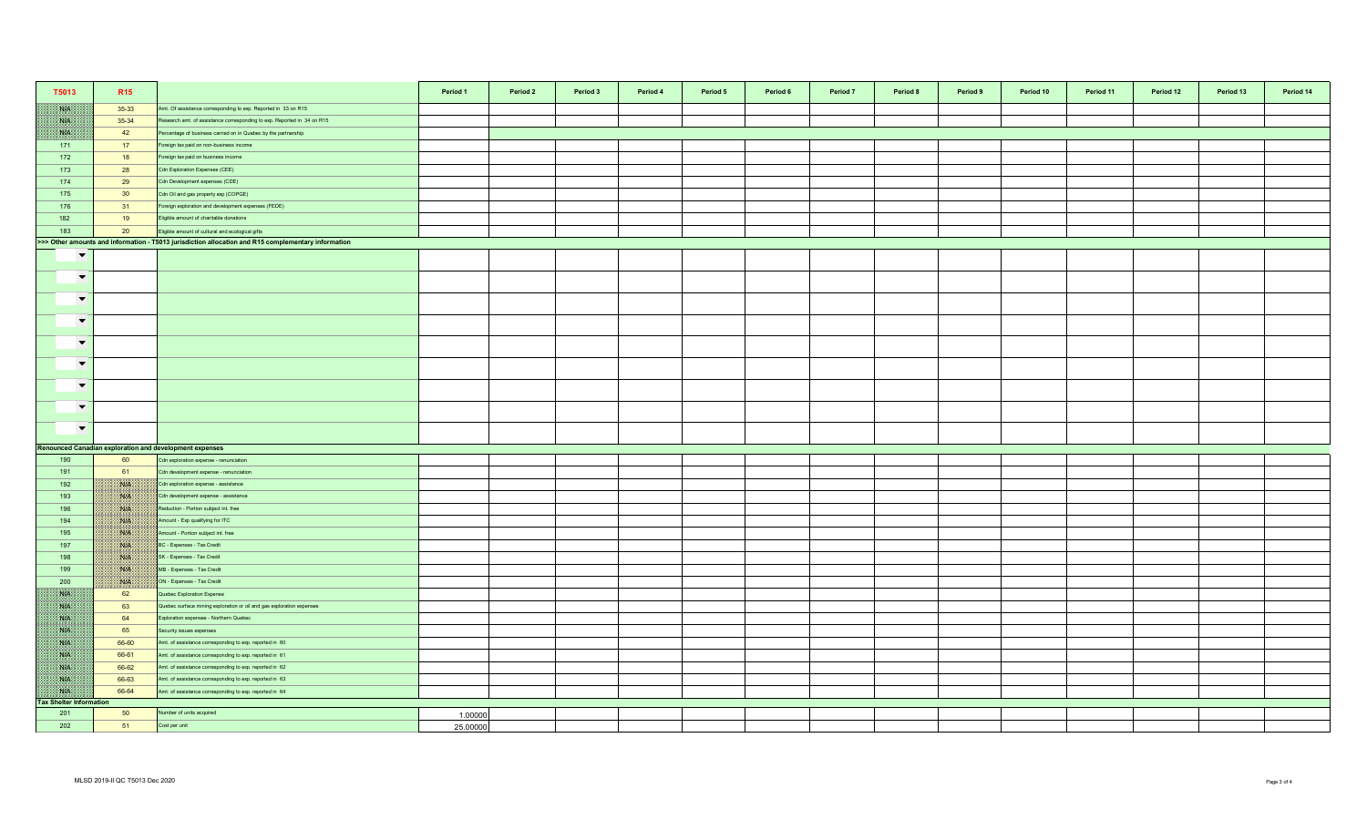| T5013                                | R <sub>15</sub>           |                                                                                                     | Period 1<br>Period 2 | Period 3<br>Period 4 | Period 5 | Period 6 | Period <sub>7</sub> | Period 8 | Period 9 | Period 10 | Period 11 | Period 12 | Period 13 | Period 14 |
|--------------------------------------|---------------------------|-----------------------------------------------------------------------------------------------------|----------------------|----------------------|----------|----------|---------------------|----------|----------|-----------|-----------|-----------|-----------|-----------|
| NN                                   | 35-33                     | Amt. Of assistance corresponding to exp. Reported in 33 on R15                                      |                      |                      |          |          |                     |          |          |           |           |           |           |           |
| NH                                   | 35-34                     | Research amt. of assistance corresponding to exp. Reported in 34 on R15                             |                      |                      |          |          |                     |          |          |           |           |           |           |           |
| SYP.                                 | 42                        | Percentage of business carried on in Quebec by the partnership                                      |                      |                      |          |          |                     |          |          |           |           |           |           |           |
| 171                                  | 17                        | Foreign tax paid on non-business income                                                             |                      |                      |          |          |                     |          |          |           |           |           |           |           |
| 172                                  | 18                        | oreign tax paid on business income                                                                  |                      |                      |          |          |                     |          |          |           |           |           |           |           |
| 173                                  | 28                        | Cdn Exploration Expenses (CEE)                                                                      |                      |                      |          |          |                     |          |          |           |           |           |           |           |
| 174                                  | 29                        | Cdn Development expenses (CDE)                                                                      |                      |                      |          |          |                     |          |          |           |           |           |           |           |
| 175                                  | 30                        | Cdn Oil and gas property exp (COPGE)                                                                |                      |                      |          |          |                     |          |          |           |           |           |           |           |
| 176                                  | 31                        | Foreign exploration and development expenses (FEDE)                                                 |                      |                      |          |          |                     |          |          |           |           |           |           |           |
| 182                                  | 19                        | Eligible amount of charitable donations                                                             |                      |                      |          |          |                     |          |          |           |           |           |           |           |
| 183                                  | 20                        | Eligible amount of cultural and ecological gifts                                                    |                      |                      |          |          |                     |          |          |           |           |           |           |           |
|                                      |                           | >>> Other amounts and information - T5013 jurisdiction allocation and R15 complementary information |                      |                      |          |          |                     |          |          |           |           |           |           |           |
| $\blacktriangledown$                 |                           |                                                                                                     |                      |                      |          |          |                     |          |          |           |           |           |           |           |
| $\overline{\phantom{a}}$             |                           |                                                                                                     |                      |                      |          |          |                     |          |          |           |           |           |           |           |
| $\blacktriangledown$                 |                           |                                                                                                     |                      |                      |          |          |                     |          |          |           |           |           |           |           |
| $\blacktriangledown$                 |                           |                                                                                                     |                      |                      |          |          |                     |          |          |           |           |           |           |           |
| $\blacktriangledown$                 |                           |                                                                                                     |                      |                      |          |          |                     |          |          |           |           |           |           |           |
| $\overline{\phantom{a}}$             |                           |                                                                                                     |                      |                      |          |          |                     |          |          |           |           |           |           |           |
| $\overline{\phantom{0}}$             |                           |                                                                                                     |                      |                      |          |          |                     |          |          |           |           |           |           |           |
| $\overline{\phantom{a}}$             |                           |                                                                                                     |                      |                      |          |          |                     |          |          |           |           |           |           |           |
| $\overline{\phantom{a}}$             |                           |                                                                                                     |                      |                      |          |          |                     |          |          |           |           |           |           |           |
|                                      |                           | Renounced Canadian exploration and development expenses                                             |                      |                      |          |          |                     |          |          |           |           |           |           |           |
| 190                                  | 60                        | Cdn exploration expense - renunciation                                                              |                      |                      |          |          |                     |          |          |           |           |           |           |           |
| 191                                  | 61                        | Cdn development expense - renunciation                                                              |                      |                      |          |          |                     |          |          |           |           |           |           |           |
| 192                                  | <b>BALE</b>               | Cdn exploration expense - assistance                                                                |                      |                      |          |          |                     |          |          |           |           |           |           |           |
| 193                                  | NIA                       | Cdn development expense - assistance                                                                |                      |                      |          |          |                     |          |          |           |           |           |           |           |
| 196                                  | $\mathcal{N}(\mathbb{R})$ | Reduction - Portion subject int. free                                                               |                      |                      |          |          |                     |          |          |           |           |           |           |           |
| 194                                  | <b>BUS</b>                | Amount - Exp qualifying for ITC                                                                     |                      |                      |          |          |                     |          |          |           |           |           |           |           |
| 195                                  | <b>NIA</b>                | Amount - Portion subject int. free                                                                  |                      |                      |          |          |                     |          |          |           |           |           |           |           |
| 197                                  | ma                        | BC - Expenses - Tax Credit                                                                          |                      |                      |          |          |                     |          |          |           |           |           |           |           |
| 198                                  | NIA                       | SK - Expenses - Tax Credit                                                                          |                      |                      |          |          |                     |          |          |           |           |           |           |           |
| 199                                  | <b>BAR</b>                | MB - Expenses - Tax Credit                                                                          |                      |                      |          |          |                     |          |          |           |           |           |           |           |
| 200                                  | <b>SHELL</b>              | ON - Expenses - Tax Credit                                                                          |                      |                      |          |          |                     |          |          |           |           |           |           |           |
| WB                                   | 62                        | Quebec Exploration Expense                                                                          |                      |                      |          |          |                     |          |          |           |           |           |           |           |
| NB                                   | 63                        | Quebec surface mining exploration or oil and gas exploration expenses                               |                      |                      |          |          |                     |          |          |           |           |           |           |           |
| <b>SALE</b>                          | 64                        | Exploration expenses - Northern Quebec                                                              |                      |                      |          |          |                     |          |          |           |           |           |           |           |
| <b>BATE</b>                          | 65                        | Security issues expenses                                                                            |                      |                      |          |          |                     |          |          |           |           |           |           |           |
| NB                                   | 66-60                     | Amt. of assistance corresponding to exp. reported in 60                                             |                      |                      |          |          |                     |          |          |           |           |           |           |           |
| <b>SIE</b>                           | 66-61                     | Amt. of assistance corresponding to exp. reported in 61                                             |                      |                      |          |          |                     |          |          |           |           |           |           |           |
| <b>NA</b>                            | 66-62                     | Amt. of assistance corresponding to exp. reported in 62                                             |                      |                      |          |          |                     |          |          |           |           |           |           |           |
| NP                                   | 66-63                     | Amt. of assistance corresponding to exp. reported in 63                                             |                      |                      |          |          |                     |          |          |           |           |           |           |           |
| WB<br><b>Tax Shelter Information</b> | 66-64                     | Amt. of assistance corresponding to exp. reported in 64                                             |                      |                      |          |          |                     |          |          |           |           |           |           |           |
| 201                                  | 50                        | Number of units acquired                                                                            | 1.00000              |                      |          |          |                     |          |          |           |           |           |           |           |
| 202                                  | 51                        | Cost per unit                                                                                       | 25.00000             |                      |          |          |                     |          |          |           |           |           |           |           |
|                                      |                           |                                                                                                     |                      |                      |          |          |                     |          |          |           |           |           |           |           |